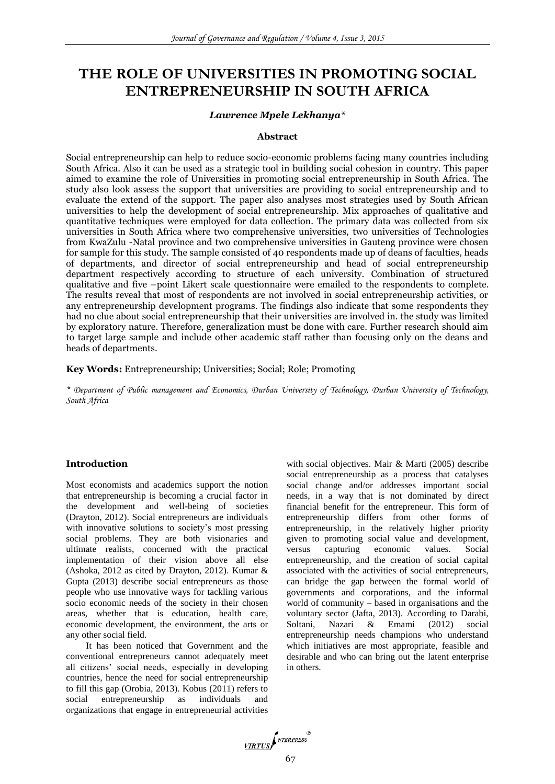# **THE ROLE OF UNIVERSITIES IN PROMOTING SOCIAL ENTREPRENEURSHIP IN SOUTH AFRICA**

## *Lawrence Mpele Lekhanya\**

## **Abstract**

Social entrepreneurship can help to reduce socio-economic problems facing many countries including South Africa. Also it can be used as a strategic tool in building social cohesion in country. This paper aimed to examine the role of Universities in promoting social entrepreneurship in South Africa. The study also look assess the support that universities are providing to social entrepreneurship and to evaluate the extend of the support. The paper also analyses most strategies used by South African universities to help the development of social entrepreneurship. Mix approaches of qualitative and quantitative techniques were employed for data collection. The primary data was collected from six universities in South Africa where two comprehensive universities, two universities of Technologies from KwaZulu -Natal province and two comprehensive universities in Gauteng province were chosen for sample for this study. The sample consisted of 40 respondents made up of deans of faculties, heads of departments, and director of social entrepreneurship and head of social entrepreneurship department respectively according to structure of each university. Combination of structured qualitative and five –point Likert scale questionnaire were emailed to the respondents to complete. The results reveal that most of respondents are not involved in social entrepreneurship activities, or any entrepreneurship development programs. The findings also indicate that some respondents they had no clue about social entrepreneurship that their universities are involved in. the study was limited by exploratory nature. Therefore, generalization must be done with care. Further research should aim to target large sample and include other academic staff rather than focusing only on the deans and heads of departments.

**Key Words:** Entrepreneurship; Universities; Social; Role; Promoting

*\* Department of Public management and Economics, Durban University of Technology, Durban University of Technology, South Africa*

# **Introduction**

Most economists and academics support the notion that entrepreneurship is becoming a crucial factor in the development and well-being of societies (Drayton, 2012). Social entrepreneurs are individuals with innovative solutions to society's most pressing social problems. They are both visionaries and ultimate realists, concerned with the practical implementation of their vision above all else (Ashoka, 2012 as cited by Drayton, 2012). Kumar & Gupta (2013) describe social entrepreneurs as those people who use innovative ways for tackling various socio economic needs of the society in their chosen areas, whether that is education, health care, economic development, the environment, the arts or any other social field.

It has been noticed that Government and the conventional entrepreneurs cannot adequately meet all citizens' social needs, especially in developing countries, hence the need for social entrepreneurship to fill this gap (Orobia, 2013). Kobus (2011) refers to social entrepreneurship as individuals and organizations that engage in entrepreneurial activities with social objectives. Mair & Marti (2005) describe social entrepreneurship as a process that catalyses social change and/or addresses important social needs, in a way that is not dominated by direct financial benefit for the entrepreneur. This form of entrepreneurship differs from other forms of entrepreneurship, in the relatively higher priority given to promoting social value and development, versus capturing economic values. Social entrepreneurship, and the creation of social capital associated with the activities of social entrepreneurs, can bridge the gap between the formal world of governments and corporations, and the informal world of community – based in organisations and the voluntary sector (Jafta, 2013). According to Darabi, Soltani, Nazari & Emami (2012) social entrepreneurship needs champions who understand which initiatives are most appropriate, feasible and desirable and who can bring out the latent enterprise in others.

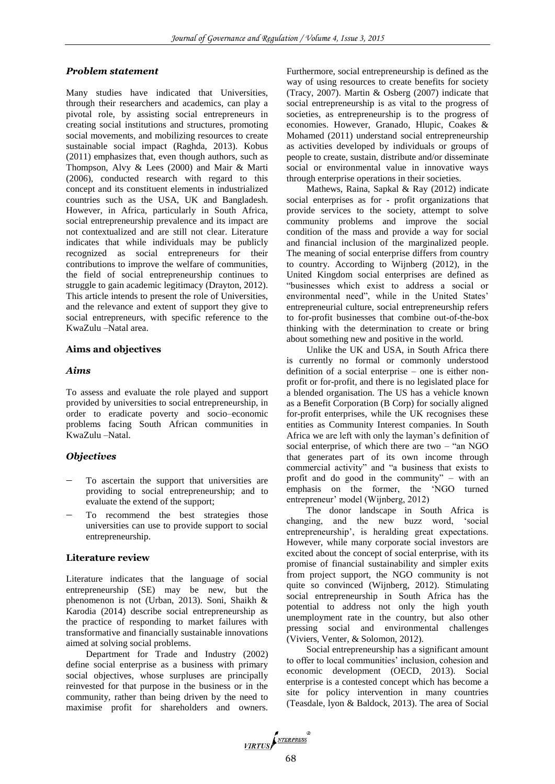# *Problem statement*

Many studies have indicated that Universities, through their researchers and academics, can play a pivotal role, by assisting social entrepreneurs in creating social institutions and structures, promoting social movements, and mobilizing resources to create sustainable social impact (Raghda, 2013). Kobus (2011) emphasizes that, even though authors, such as Thompson, Alvy & Lees (2000) and Mair & Marti (2006), conducted research with regard to this concept and its constituent elements in industrialized countries such as the USA, UK and Bangladesh. However, in Africa, particularly in South Africa, social entrepreneurship prevalence and its impact are not contextualized and are still not clear. Literature indicates that while individuals may be publicly recognized as social entrepreneurs for their contributions to improve the welfare of communities, the field of social entrepreneurship continues to struggle to gain academic legitimacy (Drayton, 2012). This article intends to present the role of Universities, and the relevance and extent of support they give to social entrepreneurs, with specific reference to the KwaZulu –Natal area.

# **Aims and objectives**

## *Aims*

To assess and evaluate the role played and support provided by universities to social entrepreneurship, in order to eradicate poverty and socio–economic problems facing South African communities in KwaZulu –Natal.

# *Objectives*

- To ascertain the support that universities are providing to social entrepreneurship; and to evaluate the extend of the support;
- To recommend the best strategies those universities can use to provide support to social entrepreneurship.

# **Literature review**

Literature indicates that the language of social entrepreneurship (SE) may be new, but the phenomenon is not (Urban, 2013). Soni, Shaikh & Karodia (2014) describe social entrepreneurship as the practice of responding to market failures with transformative and financially sustainable innovations aimed at solving social problems.

Department for Trade and Industry (2002) define social enterprise as a business with primary social objectives, whose surpluses are principally reinvested for that purpose in the business or in the community, rather than being driven by the need to maximise profit for shareholders and owners. Furthermore, social entrepreneurship is defined as the way of using resources to create benefits for society (Tracy, 2007). Martin & Osberg (2007) indicate that social entrepreneurship is as vital to the progress of societies, as entrepreneurship is to the progress of economies. However, Granado, Hlupic, Coakes & Mohamed (2011) understand social entrepreneurship as activities developed by individuals or groups of people to create, sustain, distribute and/or disseminate social or environmental value in innovative ways through enterprise operations in their societies.

Mathews, Raina, Sapkal & Ray (2012) indicate social enterprises as for - profit organizations that provide services to the society, attempt to solve community problems and improve the social condition of the mass and provide a way for social and financial inclusion of the marginalized people. The meaning of social enterprise differs from country to country. According to Wijnberg (2012), in the United Kingdom social enterprises are defined as "businesses which exist to address a social or environmental need", while in the United States' entrepreneurial culture, social entrepreneurship refers to for-profit businesses that combine out-of-the-box thinking with the determination to create or bring about something new and positive in the world.

Unlike the UK and USA, in South Africa there is currently no formal or commonly understood definition of a social enterprise – one is either nonprofit or for-profit, and there is no legislated place for a blended organisation. The US has a vehicle known as a Benefit Corporation (B Corp) for socially aligned for-profit enterprises, while the UK recognises these entities as Community Interest companies. In South Africa we are left with only the layman's definition of social enterprise, of which there are two – "an NGO that generates part of its own income through commercial activity" and "a business that exists to profit and do good in the community" – with an emphasis on the former, the 'NGO turned entrepreneur' model (Wijnberg, 2012)

The donor landscape in South Africa is changing, and the new buzz word, 'social entrepreneurship', is heralding great expectations. However, while many corporate social investors are excited about the concept of social enterprise, with its promise of financial sustainability and simpler exits from project support, the NGO community is not quite so convinced (Wijnberg, 2012). Stimulating social entrepreneurship in South Africa has the potential to address not only the high youth unemployment rate in the country, but also other pressing social and environmental challenges (Viviers, Venter, & Solomon, 2012).

Social entrepreneurship has a significant amount to offer to local communities' inclusion, cohesion and economic development (OECD, 2013). Social enterprise is a contested concept which has become a site for policy intervention in many countries (Teasdale, lyon & Baldock, 2013). The area of Social

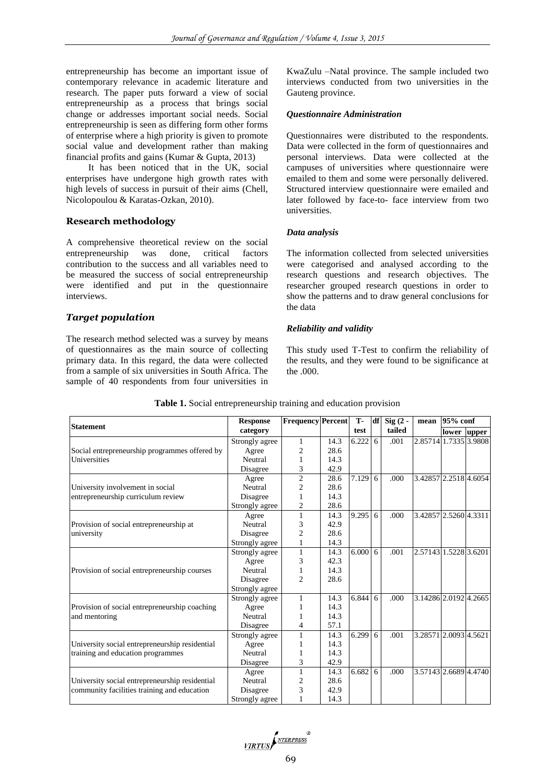entrepreneurship has become an important issue of contemporary relevance in academic literature and research. The paper puts forward a view of social entrepreneurship as a process that brings social change or addresses important social needs. Social entrepreneurship is seen as differing form other forms of enterprise where a high priority is given to promote social value and development rather than making financial profits and gains (Kumar & Gupta, 2013)

It has been noticed that in the UK, social enterprises have undergone high growth rates with high levels of success in pursuit of their aims (Chell, Nicolopoulou & Karatas-Ozkan, 2010).

# **Research methodology**

A comprehensive theoretical review on the social entrepreneurship was done, critical factors contribution to the success and all variables need to be measured the success of social entrepreneurship were identified and put in the questionnaire interviews.

## *Target population*

The research method selected was a survey by means of questionnaires as the main source of collecting primary data. In this regard, the data were collected from a sample of six universities in South Africa. The sample of 40 respondents from four universities in

KwaZulu –Natal province. The sample included two interviews conducted from two universities in the Gauteng province.

#### *Questionnaire Administration*

Questionnaires were distributed to the respondents. Data were collected in the form of questionnaires and personal interviews. Data were collected at the campuses of universities where questionnaire were emailed to them and some were personally delivered. Structured interview questionnaire were emailed and later followed by face-to- face interview from two universities.

#### *Data analysis*

The information collected from selected universities were categorised and analysed according to the research questions and research objectives. The researcher grouped research questions in order to show the patterns and to draw general conclusions for the data

#### *Reliability and validity*

This study used T-Test to confirm the reliability of the results, and they were found to be significance at the .000.

| <b>Statement</b>                                                                              | <b>Response</b> | <b>Frequency Percent</b> |      | T-<br>test     |   | $df$ Sig $(2 -$<br>tailed | mean                  | 95% conf |             |
|-----------------------------------------------------------------------------------------------|-----------------|--------------------------|------|----------------|---|---------------------------|-----------------------|----------|-------------|
|                                                                                               | category        |                          |      |                |   |                           |                       |          | lower upper |
| Social entrepreneurship programmes offered by                                                 | Strongly agree  | 1                        | 14.3 | 6.222          | 6 | .001                      | 2.85714 1.7335 3.9808 |          |             |
|                                                                                               | Agree           | $\overline{c}$           | 28.6 |                |   |                           |                       |          |             |
| Universities                                                                                  | Neutral         |                          | 14.3 |                |   |                           |                       |          |             |
|                                                                                               | Disagree        | 3                        | 42.9 |                |   |                           |                       |          |             |
| University involvement in social                                                              | Agree           | $\overline{2}$           | 28.6 | 7.129          | 6 | .000                      | 3.42857 2.2518 4.6054 |          |             |
|                                                                                               | Neutral         | $\overline{2}$           | 28.6 |                |   |                           |                       |          |             |
| entrepreneurship curriculum review                                                            | Disagree        | 1                        | 14.3 |                |   |                           |                       |          |             |
|                                                                                               | Strongly agree  | $\overline{c}$           | 28.6 |                |   |                           |                       |          |             |
|                                                                                               | Agree           | 1                        | 14.3 | 9.295          | 6 | .000                      | 3.42857 2.5260 4.3311 |          |             |
| Provision of social entrepreneurship at                                                       | Neutral         | 3                        | 42.9 |                |   |                           |                       |          |             |
| university                                                                                    | Disagree        | $\overline{c}$           | 28.6 |                |   |                           |                       |          |             |
|                                                                                               | Strongly agree  | 1                        | 14.3 |                |   |                           |                       |          |             |
| Provision of social entrepreneurship courses                                                  | Strongly agree  | $\mathbf{1}$             | 14.3 | $6.000 \mid 6$ |   | .001                      | 2.57143 1.5228 3.6201 |          |             |
|                                                                                               | Agree           | 3                        | 42.3 |                |   |                           |                       |          |             |
|                                                                                               | Neutral         |                          | 14.3 |                |   |                           |                       |          |             |
|                                                                                               | Disagree        | $\overline{c}$           | 28.6 |                |   |                           |                       |          |             |
|                                                                                               | Strongly agree  |                          |      |                |   |                           |                       |          |             |
| Provision of social entrepreneurship coaching<br>and mentoring                                | Strongly agree  |                          | 14.3 | 6.844          | 6 | .000                      | 3.14286 2.0192 4.2665 |          |             |
|                                                                                               | Agree           |                          | 14.3 |                |   |                           |                       |          |             |
|                                                                                               | Neutral         |                          | 14.3 |                |   |                           |                       |          |             |
|                                                                                               | Disagree        | 4                        | 57.1 |                |   |                           |                       |          |             |
| University social entrepreneurship residential<br>training and education programmes           | Strongly agree  | 1                        | 14.3 | 6.299          | 6 | .001                      | 3.28571 2.0093 4.5621 |          |             |
|                                                                                               | Agree           |                          | 14.3 |                |   |                           |                       |          |             |
|                                                                                               | Neutral         |                          | 14.3 |                |   |                           |                       |          |             |
|                                                                                               | Disagree        | 3                        | 42.9 |                |   |                           |                       |          |             |
| University social entrepreneurship residential<br>community facilities training and education | Agree           | $\mathbf{1}$             | 14.3 | 6.682          | 6 | .000                      | 3.57143 2.6689 4.4740 |          |             |
|                                                                                               | Neutral         | $\overline{c}$           | 28.6 |                |   |                           |                       |          |             |
|                                                                                               | Disagree        | 3                        | 42.9 |                |   |                           |                       |          |             |
|                                                                                               | Strongly agree  |                          | 14.3 |                |   |                           |                       |          |             |

#### **Table 1.** Social entrepreneurship training and education provision

VIRTUS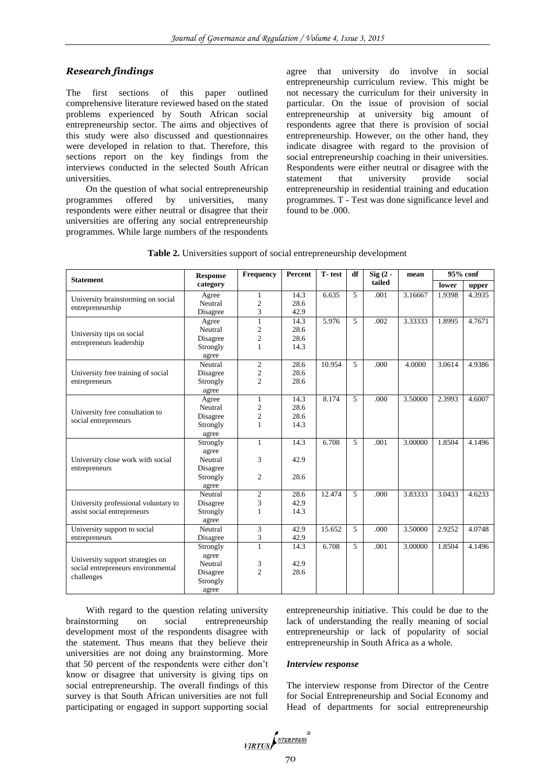# *Research findings*

The first sections of this paper outlined comprehensive literature reviewed based on the stated problems experienced by South African social entrepreneurship sector. The aims and objectives of this study were also discussed and questionnaires were developed in relation to that. Therefore, this sections report on the key findings from the interviews conducted in the selected South African universities.

On the question of what social entrepreneurship programmes offered by universities, many respondents were either neutral or disagree that their universities are offering any social entrepreneurship programmes. While large numbers of the respondents

agree that university do involve in social entrepreneurship curriculum review. This might be not necessary the curriculum for their university in particular. On the issue of provision of social entrepreneurship at university big amount of respondents agree that there is provision of social entrepreneurship. However, on the other hand, they indicate disagree with regard to the provision of social entrepreneurship coaching in their universities. Respondents were either neutral or disagree with the statement that university provide social entrepreneurship in residential training and education programmes. T - Test was done significance level and found to be .000.

| Table 2. Universities support of social entrepreneurship development |
|----------------------------------------------------------------------|
|----------------------------------------------------------------------|

| <b>Statement</b>                                                                     | <b>Response</b> | Frequency      | Percent | T-test | df | $Sig(2 -$ | mean    | 95% conf |        |
|--------------------------------------------------------------------------------------|-----------------|----------------|---------|--------|----|-----------|---------|----------|--------|
|                                                                                      | category        |                |         |        |    | tailed    |         | lower    | upper  |
| University brainstorming on social                                                   | Agree           | 1              | 14.3    | 6.635  | 5  | .001      | 3.16667 | 1.9398   | 4.3935 |
| entrepreneurship                                                                     | Neutral         | $\overline{c}$ | 28.6    |        |    |           |         |          |        |
|                                                                                      | Disagree        | 3              | 42.9    |        |    |           |         |          |        |
| University tips on social<br>entrepreneurs leadership                                | Agree           | $\mathbf{1}$   | 14.3    | 5.976  | 5  | .002      | 3.33333 | 1.8995   | 4.7671 |
|                                                                                      | Neutral         | $\overline{c}$ | 28.6    |        |    |           |         |          |        |
|                                                                                      | Disagree        | $\overline{c}$ | 28.6    |        |    |           |         |          |        |
|                                                                                      | Strongly        | $\mathbf{1}$   | 14.3    |        |    |           |         |          |        |
|                                                                                      | agree           |                |         |        |    |           |         |          |        |
|                                                                                      | Neutral         | $\overline{c}$ | 28.6    | 10.954 | 5  | .000      | 4.0000  | 3.0614   | 4.9386 |
| University free training of social                                                   | Disagree        | $\mathfrak{2}$ | 28.6    |        |    |           |         |          |        |
| entrepreneurs                                                                        | Strongly        | $\overline{c}$ | 28.6    |        |    |           |         |          |        |
|                                                                                      | agree           |                |         |        |    |           |         |          |        |
|                                                                                      | Agree           | $\mathbf{1}$   | 14.3    | 8.174  | 5  | .000      | 3.50000 | 2.3993   | 4.6007 |
| University free consultation to                                                      | Neutral         | $\overline{c}$ | 28.6    |        |    |           |         |          |        |
| social entrepreneurs                                                                 | Disagree        | $\overline{c}$ | 28.6    |        |    |           |         |          |        |
|                                                                                      | Strongly        | $\mathbf{1}$   | 14.3    |        |    |           |         |          |        |
|                                                                                      | agree           |                |         |        |    |           |         |          |        |
| University close work with social<br>entrepreneurs                                   | Strongly        | $\mathbf{1}$   | 14.3    | 6.708  | 5  | .001      | 3.00000 | 1.8504   | 4.1496 |
|                                                                                      | agree           |                |         |        |    |           |         |          |        |
|                                                                                      | Neutral         | 3              | 42.9    |        |    |           |         |          |        |
|                                                                                      | Disagree        |                |         |        |    |           |         |          |        |
|                                                                                      | Strongly        | 2              | 28.6    |        |    |           |         |          |        |
|                                                                                      | agree           |                |         |        |    |           |         |          |        |
|                                                                                      | Neutral         | $\mathfrak{2}$ | 28.6    | 12.474 | 5  | .000      | 3.83333 | 3.0433   | 4.6233 |
| University professional voluntary to<br>assist social entrepreneurs                  | Disagree        | 3              | 42.9    |        |    |           |         |          |        |
|                                                                                      | Strongly        | $\mathbf{1}$   | 14.3    |        |    |           |         |          |        |
|                                                                                      | agree           |                |         |        |    |           |         |          |        |
| University support to social                                                         | Neutral         | 3              | 42.9    | 15.652 | 5  | .000      | 3.50000 | 2.9252   | 4.0748 |
| entrepreneurs                                                                        | Disagree        | 3              | 42.9    |        |    |           |         |          |        |
| University support strategies on<br>social entrepreneurs environmental<br>challenges | Strongly        | $\mathbf{1}$   | 14.3    | 6.708  | 5  | .001      | 3.00000 | 1.8504   | 4.1496 |
|                                                                                      | agree           |                |         |        |    |           |         |          |        |
|                                                                                      | Neutral         | 3              | 42.9    |        |    |           |         |          |        |
|                                                                                      | Disagree        | $\overline{c}$ | 28.6    |        |    |           |         |          |        |
|                                                                                      | Strongly        |                |         |        |    |           |         |          |        |
|                                                                                      | agree           |                |         |        |    |           |         |          |        |

With regard to the question relating university brainstorming on social entrepreneurship development most of the respondents disagree with the statement. Thus means that they believe their universities are not doing any brainstorming. More that 50 percent of the respondents were either don't know or disagree that university is giving tips on social entrepreneurship. The overall findings of this survey is that South African universities are not full participating or engaged in support supporting social

entrepreneurship initiative. This could be due to the lack of understanding the really meaning of social entrepreneurship or lack of popularity of social entrepreneurship in South Africa as a whole.

#### *Interview response*

The interview response from Director of the Centre for Social Entrepreneurship and Social Economy and Head of departments for social entrepreneurship